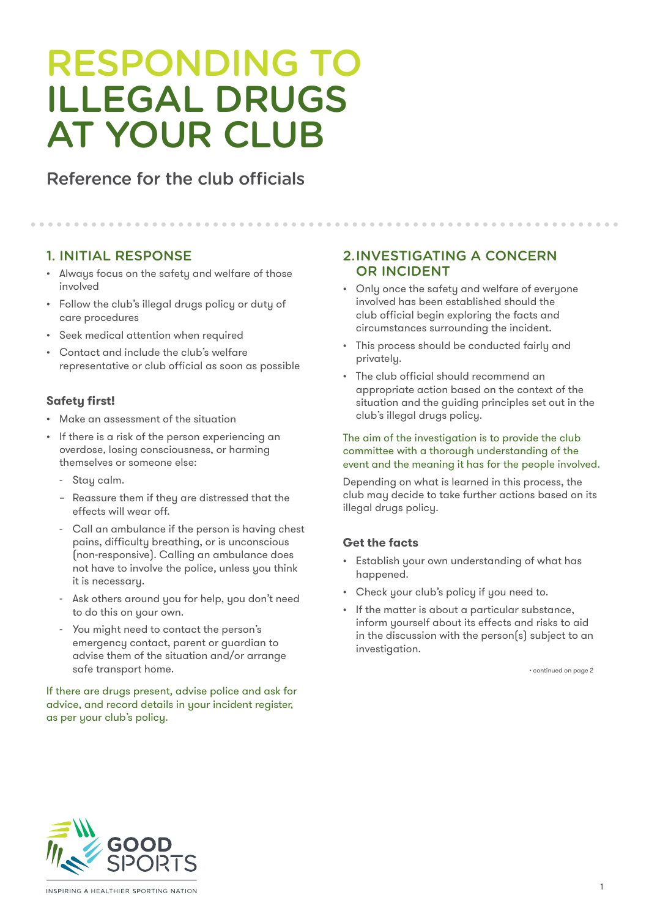# RESPONDING TO ILLEGAL DRUGS AT YOUR CLUB

# Reference for the club officials

# 1. INITIAL RESPONSE

- Always focus on the safety and welfare of those involved
- Follow the club's illegal drugs policy or duty of care procedures
- Seek medical attention when required
- Contact and include the club's welfare representative or club official as soon as possible

### **Safety first!**

- Make an assessment of the situation
- If there is a risk of the person experiencing an overdose, losing consciousness, or harming themselves or someone else:
	- Stay calm.
	- Reassure them if they are distressed that the effects will wear off.
	- Call an ambulance if the person is having chest pains, difficulty breathing, or is unconscious (non-responsive). Calling an ambulance does not have to involve the police, unless you think it is necessary.
	- Ask others around you for help, you don't need to do this on your own.
	- You might need to contact the person's emergency contact, parent or guardian to advise them of the situation and/or arrange safe transport home.

If there are drugs present, advise police and ask for advice, and record details in your incident register, as per your club's policy.

## 2.INVESTIGATING A CONCERN OR INCIDENT

• Only once the safety and welfare of everyone involved has been established should the club official begin exploring the facts and circumstances surrounding the incident.

- This process should be conducted fairly and privately.
- The club official should recommend an appropriate action based on the context of the situation and the guiding principles set out in the club's illegal drugs policy.

#### The aim of the investigation is to provide the club committee with a thorough understanding of the event and the meaning it has for the people involved.

Depending on what is learned in this process, the club may decide to take further actions based on its illegal drugs policy.

## **Get the facts**

- Establish your own understanding of what has happened.
- Check your club's policy if you need to.
- If the matter is about a particular substance, inform yourself about its effects and risks to aid in the discussion with the person(s) subject to an investigation.

• continued on page 2

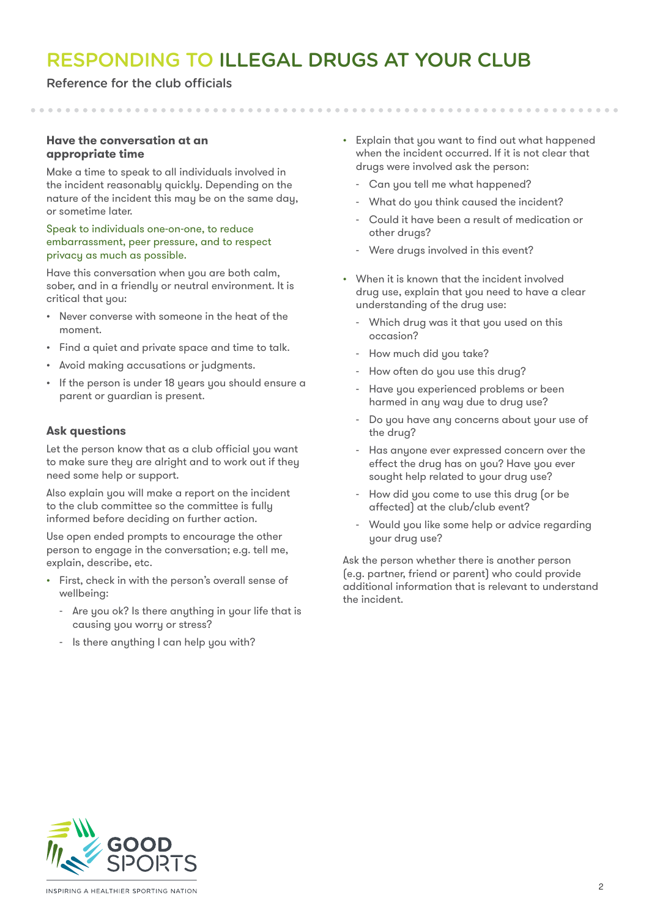# RESPONDING TO ILLEGAL DRUGS AT YOUR CLUB

#### Reference for the club officials

#### **Have the conversation at an appropriate time**

Make a time to speak to all individuals involved in the incident reasonably quickly. Depending on the nature of the incident this may be on the same day, or sometime later.

#### Speak to individuals one-on-one, to reduce embarrassment, peer pressure, and to respect privacy as much as possible.

Have this conversation when you are both calm, sober, and in a friendly or neutral environment. It is critical that you:

- Never converse with someone in the heat of the moment.
- Find a quiet and private space and time to talk.
- Avoid making accusations or judgments.
- If the person is under 18 years you should ensure a parent or guardian is present.

#### **Ask questions**

Let the person know that as a club official you want to make sure they are alright and to work out if they need some help or support.

Also explain you will make a report on the incident to the club committee so the committee is fully informed before deciding on further action.

Use open ended prompts to encourage the other person to engage in the conversation; e.g. tell me, explain, describe, etc.

- First, check in with the person's overall sense of wellbeing:
	- Are you ok? Is there anything in your life that is causing you worry or stress?
	- Is there anything I can help you with?
- Explain that you want to find out what happened when the incident occurred. If it is not clear that drugs were involved ask the person:
	- Can you tell me what happened?
	- What do you think caused the incident?
	- Could it have been a result of medication or other drugs?
	- Were drugs involved in this event?
- When it is known that the incident involved drug use, explain that you need to have a clear understanding of the drug use:
	- Which drug was it that you used on this occasion?
	- How much did you take?
	- How often do you use this drug?
	- Have you experienced problems or been harmed in any way due to drug use?
	- Do you have any concerns about your use of the drug?
	- Has anyone ever expressed concern over the effect the drug has on you? Have you ever sought help related to your drug use?
	- How did you come to use this drug (or be affected) at the club/club event?
	- Would you like some help or advice regarding your drug use?

Ask the person whether there is another person (e.g. partner, friend or parent) who could provide additional information that is relevant to understand the incident.